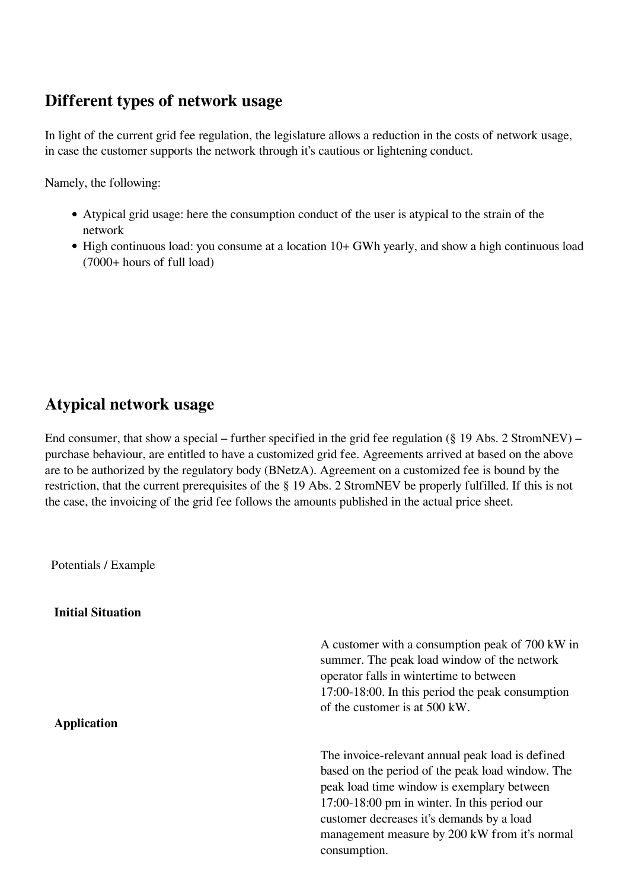#### **Different types of network usage**

In light of the current grid fee regulation, the legislature allows a reduction in the costs of network usage, in case the customer supports the network through it's cautious or lightening conduct.

Namely, the following:

- Atypical grid usage: here the consumption conduct of the user is atypical to the strain of the network
- High continuous load: you consume at a location 10+ GWh yearly, and show a high continuous load (7000+ hours of full load)

# **Atypical network usage**

End consumer, that show a special – further specified in the grid fee regulation  $(\S 19$  Abs. 2 StromNEV) – purchase behaviour, are entitled to have a customized grid fee. Agreements arrived at based on the above are to be authorized by the regulatory body (BNetzA). Agreement on a customized fee is bound by the restriction, that the current prerequisites of the § 19 Abs. 2 StromNEV be properly fulfilled. If this is not the case, the invoicing of the grid fee follows the amounts published in the actual price sheet.

Potentials / Example

**Initial Situation**

summer. The peak load window of the network operator falls in wintertime to between 17:00-18:00. In this period the peak consumption of the customer is at 500 kW. **Application** The invoice-relevant annual peak load is defined based on the period of the peak load window. The peak load time window is exemplary between 17:00-18:00 pm in winter. In this period our customer decreases it's demands by a load management measure by 200 kW from it's normal consumption.

A customer with a consumption peak of 700 kW in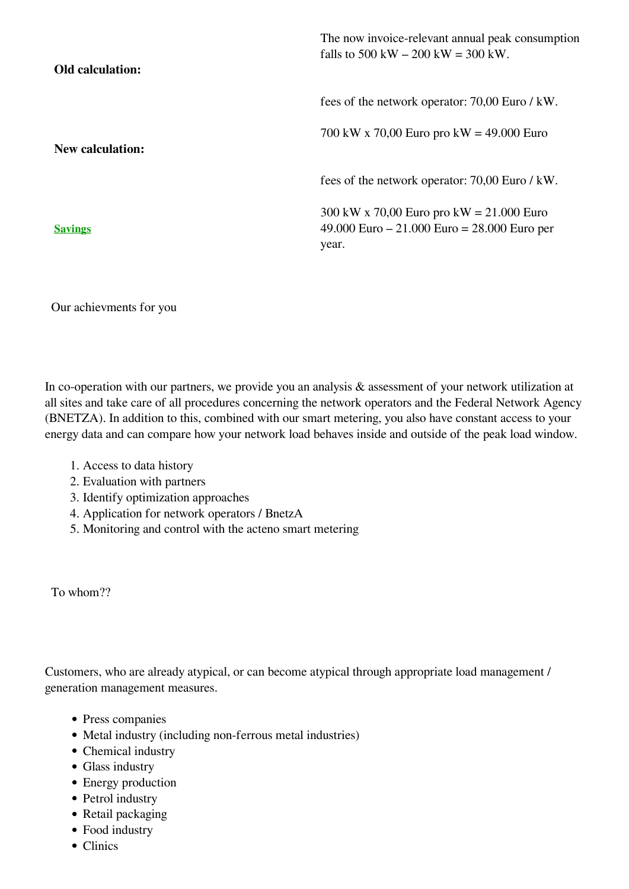| Old calculation:        | The now invoice-relevant annual peak consumption<br>falls to 500 kW $-$ 200 kW $=$ 300 kW.            |
|-------------------------|-------------------------------------------------------------------------------------------------------|
|                         | fees of the network operator: 70,00 Euro / kW.                                                        |
| <b>New calculation:</b> | 700 kW x 70,00 Euro pro kW = 49.000 Euro                                                              |
|                         | fees of the network operator: 70,00 Euro / kW.                                                        |
| <b>Savings</b>          | 300 kW x 70,00 Euro pro kW = $21,000$ Euro<br>49.000 Euro $-21.000$ Euro $= 28.000$ Euro per<br>year. |

Our achievments for you

In co-operation with our partners, we provide you an analysis & assessment of your network utilization at all sites and take care of all procedures concerning the network operators and the Federal Network Agency (BNETZA). In addition to this, combined with our smart metering, you also have constant access to your energy data and can compare how your network load behaves inside and outside of the peak load window.

- 1. Access to data history
- 2. Evaluation with partners
- 3. Identify optimization approaches
- 4. Application for network operators / BnetzA
- 5. Monitoring and control with the acteno smart metering

To whom??

Customers, who are already atypical, or can become atypical through appropriate load management / generation management measures.

- Press companies
- Metal industry (including non-ferrous metal industries)
- Chemical industry
- Glass industry
- Energy production
- Petrol industry
- Retail packaging
- Food industry
- Clinics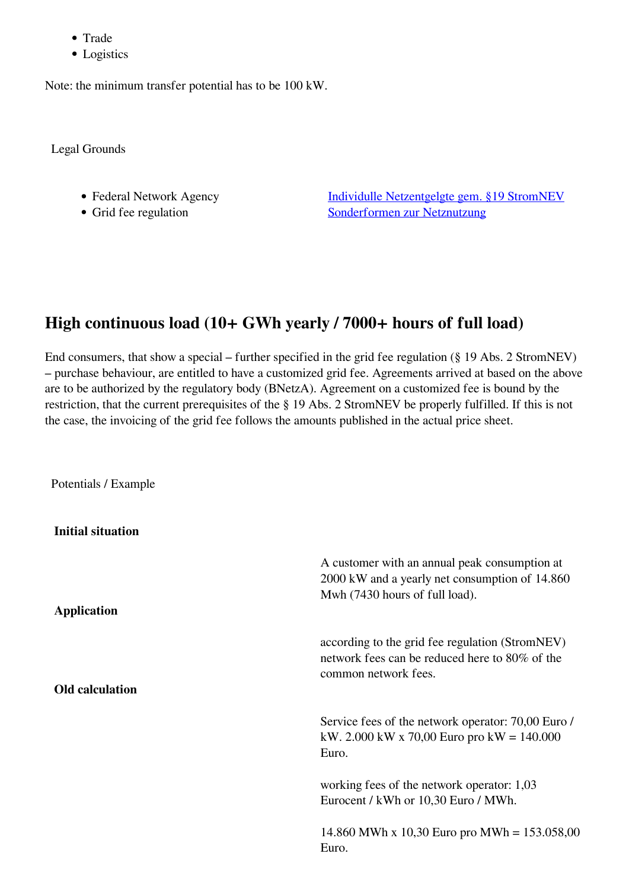- Trade
- Logistics

Note: the minimum transfer potential has to be 100 kW.

Legal Grounds

- 
- 

• Federal Network Agency [Individulle Netzentgelgte gem. §19 StromNEV](http://www.bundesnetzagentur.de/cln_1422/DE/Service-Funktionen/Beschlusskammern/Beschlusskammer4/BK4_71_Individuelle_Netzentgelte_Strom/BK4_Individuelle_Netzentgelte_Strom_node.html) • Grid fee regulation [Sonderformen zur Netznutzung](http://www.gesetze-im-internet.de/stromnev/__19.html)

#### **High continuous load (10+ GWh yearly / 7000+ hours of full load)**

End consumers, that show a special – further specified in the grid fee regulation (§ 19 Abs. 2 StromNEV) – purchase behaviour, are entitled to have a customized grid fee. Agreements arrived at based on the above are to be authorized by the regulatory body (BNetzA). Agreement on a customized fee is bound by the restriction, that the current prerequisites of the § 19 Abs. 2 StromNEV be properly fulfilled. If this is not the case, the invoicing of the grid fee follows the amounts published in the actual price sheet.

Potentials / Example

**Initial situation**

| <b>Application</b>     | A customer with an annual peak consumption at<br>2000 kW and a yearly net consumption of 14.860<br>Mwh (7430 hours of full load). |
|------------------------|-----------------------------------------------------------------------------------------------------------------------------------|
| <b>Old calculation</b> | according to the grid fee regulation (StromNEV)<br>network fees can be reduced here to 80% of the<br>common network fees.         |
|                        | Service fees of the network operator: 70,00 Euro /<br>kW. 2.000 kW x 70,00 Euro pro kW = $140.000$<br>Euro.                       |
|                        | working fees of the network operator: 1,03<br>Eurocent / kWh or 10,30 Euro / MWh.                                                 |
|                        | 14.860 MWh x 10,30 Euro pro MWh = $153.058,00$<br>Euro.                                                                           |
|                        |                                                                                                                                   |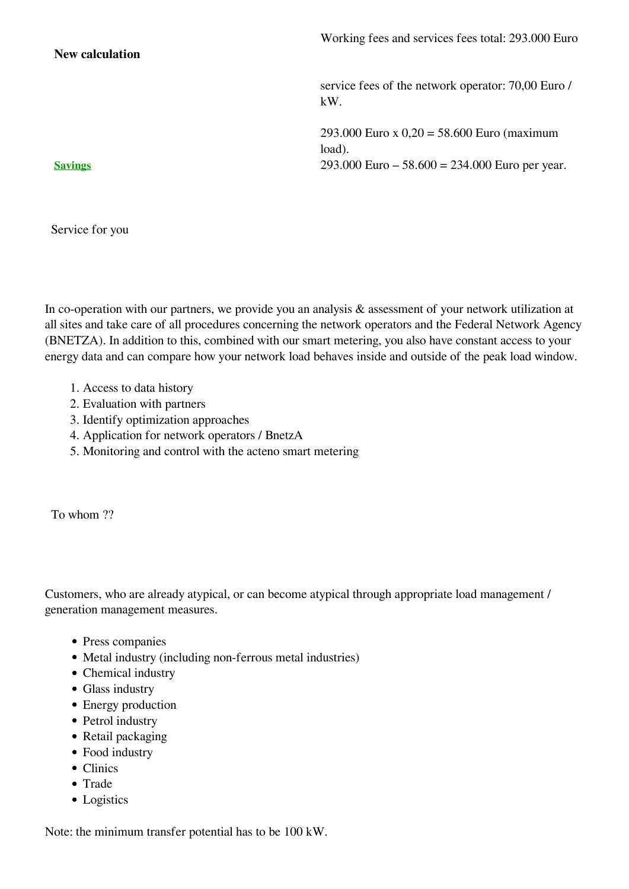**New calculation**

service fees of the network operator: 70,00 Euro / kW.

293.000 Euro x 0,20 = 58.600 Euro (maximum load). **Savings** 293.000 Euro – 58.600 = 234.000 Euro per year.

Service for you

In co-operation with our partners, we provide you an analysis & assessment of your network utilization at all sites and take care of all procedures concerning the network operators and the Federal Network Agency (BNETZA). In addition to this, combined with our smart metering, you also have constant access to your energy data and can compare how your network load behaves inside and outside of the peak load window.

- 1. Access to data history
- 2. Evaluation with partners
- 3. Identify optimization approaches
- 4. Application for network operators / BnetzA
- 5. Monitoring and control with the acteno smart metering

To whom ??

Customers, who are already atypical, or can become atypical through appropriate load management / generation management measures.

- Press companies
- Metal industry (including non-ferrous metal industries)
- Chemical industry
- Glass industry
- Energy production
- Petrol industry
- Retail packaging
- Food industry
- Clinics
- Trade
- Logistics

Note: the minimum transfer potential has to be 100 kW.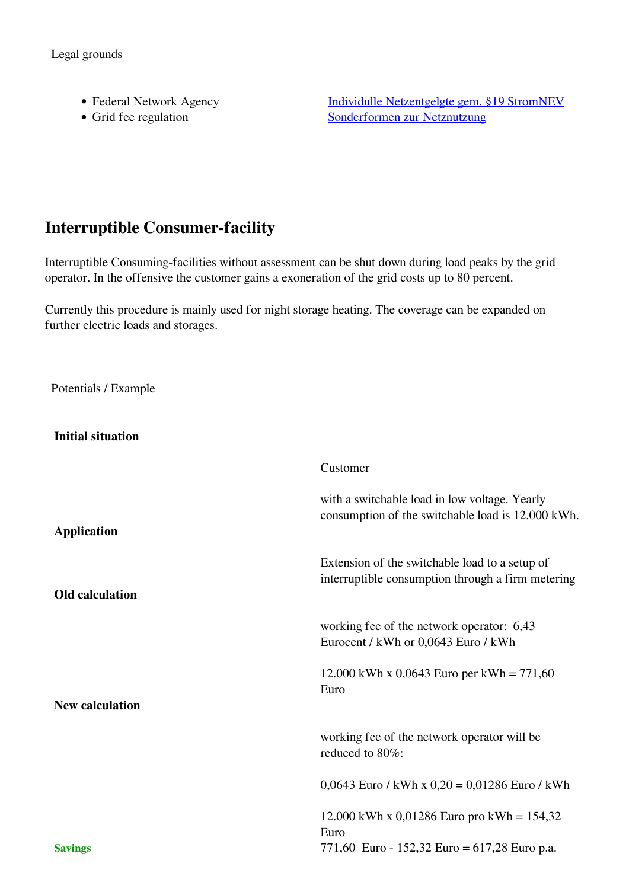Legal grounds

- 
- 

• Federal Network Agency [Individulle Netzentgelgte gem. §19 StromNEV](http://www.bundesnetzagentur.de/cln_1422/DE/Service-Funktionen/Beschlusskammern/Beschlusskammer4/BK4_71_Individuelle_Netzentgelte_Strom/BK4_Individuelle_Netzentgelte_Strom_node.html) • Grid fee regulation [Sonderformen zur Netznutzung](http://www.gesetze-im-internet.de/stromnev/__19.html)

# **Interruptible Consumer-facility**

Interruptible Consuming-facilities without assessment can be shut down during load peaks by the grid operator. In the offensive the customer gains a exoneration of the grid costs up to 80 percent.

Currently this procedure is mainly used for night storage heating. The coverage can be expanded on further electric loads and storages.

Potentials / Example

**Initial situation**

|                        | Customer                                                                                            |
|------------------------|-----------------------------------------------------------------------------------------------------|
| <b>Application</b>     | with a switchable load in low voltage. Yearly<br>consumption of the switchable load is 12.000 kWh.  |
| <b>Old</b> calculation | Extension of the switchable load to a setup of<br>interruptible consumption through a firm metering |
|                        | working fee of the network operator: 6,43<br>Eurocent / kWh or 0,0643 Euro / kWh                    |
| <b>New calculation</b> | 12.000 kWh x 0,0643 Euro per kWh = $771,60$<br>Euro                                                 |
|                        |                                                                                                     |
|                        | working fee of the network operator will be<br>reduced to 80%:                                      |
|                        | $0,0643$ Euro / kWh x $0,20 = 0,01286$ Euro / kWh                                                   |
|                        | 12.000 kWh x 0,01286 Euro pro kWh = $154,32$<br>Euro                                                |
| <b>Savings</b>         | <u>771,60 Euro - 152,32 Euro = 617,28 Euro p.a.</u>                                                 |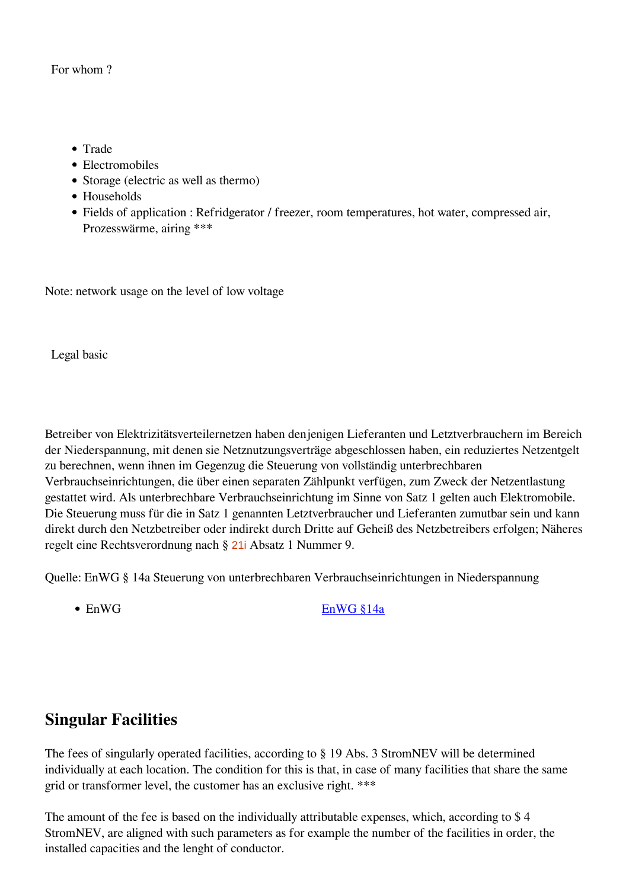#### For whom ?

- Trade
- Electromobiles
- Storage (electric as well as thermo)
- Households
- Fields of application : Refridgerator / freezer, room temperatures, hot water, compressed air, Prozesswärme, airing \*\*\*

Note: network usage on the level of low voltage

Legal basic

Betreiber von Elektrizitätsverteilernetzen haben denjenigen Lieferanten und Letztverbrauchern im Bereich der Niederspannung, mit denen sie Netznutzungsverträge abgeschlossen haben, ein reduziertes Netzentgelt zu berechnen, wenn ihnen im Gegenzug die Steuerung von vollständig unterbrechbaren Verbrauchseinrichtungen, die über einen separaten Zählpunkt verfügen, zum Zweck der Netzentlastung gestattet wird. Als unterbrechbare Verbrauchseinrichtung im Sinne von Satz 1 gelten auch Elektromobile. Die Steuerung muss für die in Satz 1 genannten Letztverbraucher und Lieferanten zumutbar sein und kann direkt durch den Netzbetreiber oder indirekt durch Dritte auf Geheiß des Netzbetreibers erfolgen; Näheres regelt eine Rechtsverordnung nach § [21i](https://dejure.org/gesetze/EnWG/21i.html) Absatz 1 Nummer 9.

Quelle: EnWG § 14a Steuerung von unterbrechbaren Verbrauchseinrichtungen in Niederspannung

• EnWG EnWG \$14a

# **Singular Facilities**

The fees of singularly operated facilities, according to § 19 Abs. 3 StromNEV will be determined individually at each location. The condition for this is that, in case of many facilities that share the same grid or transformer level, the customer has an exclusive right. \*\*\*

The amount of the fee is based on the individually attributable expenses, which, according to \$ 4 StromNEV, are aligned with such parameters as for example the number of the facilities in order, the installed capacities and the lenght of conductor.